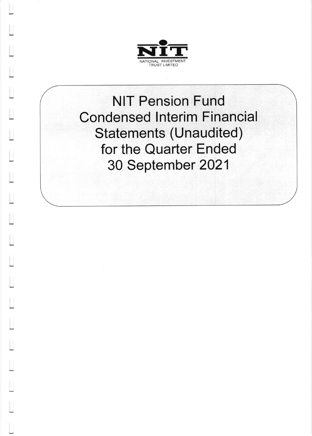

**NIT Pension Fund Condensed Interim Financial Statements (Unaudited)** for the Quarter Ended 30 September 2021

 $\mathbb{N}$